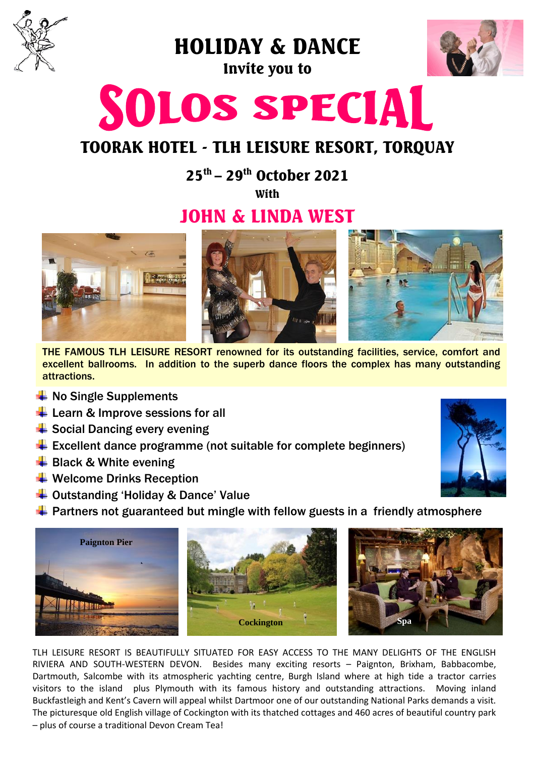

HOLIDAY & DANCE

Invite you to



# SOLOS SPECIAL

## TOORAK HOTEL - TLH LEISURE RESORT, TORQUAY

25th – 29th October 2021

With

## JOHN & LINDA WEST



THE FAMOUS TLH LEISURE RESORT renowned for its outstanding facilities, service, comfort and excellent ballrooms. In addition to the superb dance floors the complex has many outstanding attractions.

- $\frac{1}{2}$  No Single Supplements
- $\overline{\phantom{a}}$  Learn & Improve sessions for all
- $\triangleq$  Social Dancing every evening
- $\triangleq$  Excellent dance programme (not suitable for complete beginners)
- $\bigstar$  Black & White evening
- $\bigstar$  Welcome Drinks Reception
- $\overline{\phantom{a}}$  Outstanding 'Holiday & Dance' Value
- $\ddot{\phantom{1}}$  Partners not guaranteed but mingle with fellow guests in a friendly atmosphere



TLH LEISURE RESORT IS BEAUTIFULLY SITUATED FOR EASY ACCESS TO THE MANY DELIGHTS OF THE ENGLISH RIVIERA AND SOUTH-WESTERN DEVON. Besides many exciting resorts – Paignton, Brixham, Babbacombe, Dartmouth, Salcombe with its atmospheric yachting centre, Burgh Island where at high tide a tractor carries visitors to the island plus Plymouth with its famous history and outstanding attractions. Moving inland Buckfastleigh and Kent's Cavern will appeal whilst Dartmoor one of our outstanding National Parks demands a visit. The picturesque old English village of Cockington with its thatched cottages and 460 acres of beautiful country park – plus of course a traditional Devon Cream Tea!